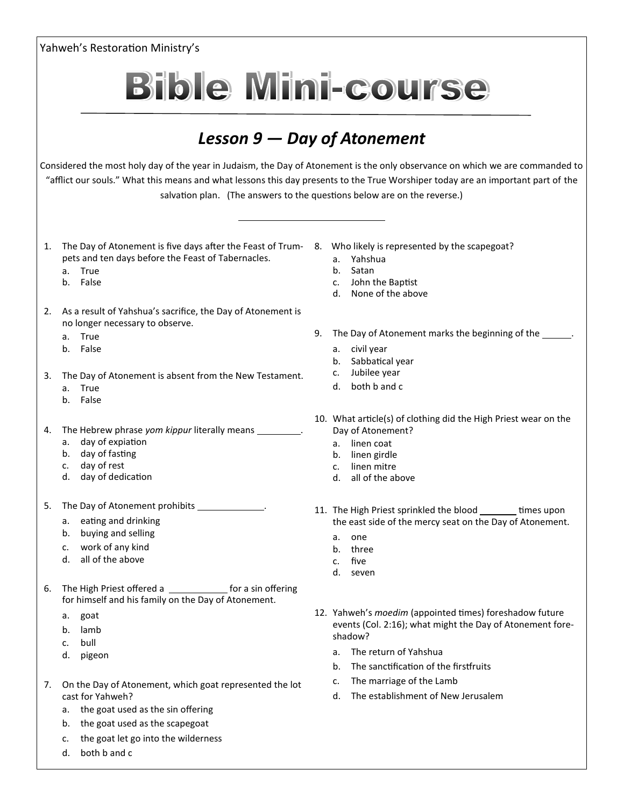Yahweh's Restoration Ministry's **Bible Mini-course** *Lesson 9 — Day of Atonement* Considered the most holy day of the year in Judaism, the Day of Atonement is the only observance on which we are commanded to "afflict our souls." What this means and what lessons this day presents to the True Worshiper today are an important part of the salvation plan. (The answers to the questions below are on the reverse.) 1. The Day of Atonement is five days after the Feast of Trum-8. Who likely is represented by the scapegoat? pets and ten days before the Feast of Tabernacles. a. Yahshua a. True b. Satan b. False c. John the Baptist d. None of the above 2. As a result of Yahshua's sacrifice, the Day of Atonement is no longer necessary to observe. 9. The Day of Atonement marks the beginning of the \_\_\_\_\_\_. a. True b. False a. civil year b. Sabbatical year c. Jubilee year 3. The Day of Atonement is absent from the New Testament. d. both b and c a. True b. False 10. What article(s) of clothing did the High Priest wear on the 4. The Hebrew phrase *yom kippur* literally means . Day of Atonement? a. day of expiation a. linen coat b. day of fasting b. linen girdle c. day of rest c. linen mitre d. day of dedication d. all of the above 5. The Day of Atonement prohibits **. The Day of Atonement** prohibits 11. The High Priest sprinkled the blood times upon a. eating and drinking the east side of the mercy seat on the Day of Atonement. b. buying and selling a. one c. work of any kind b. three d. all of the above c. five d. seven 6. The High Priest offered a **for a sin offering** for himself and his family on the Day of Atonement. 12. Yahweh's *moedim* (appointed times) foreshadow future a. goat events (Col. 2:16); what might the Day of Atonement foreb. lamb shadow? c. bull a. The return of Yahshua d. pigeon b. The sanctification of the firstfruits c. The marriage of the Lamb 7. On the Day of Atonement, which goat represented the lot d. The establishment of New Jerusalemcast for Yahweh? a. the goat used as the sin offering b. the goat used as the scapegoat c. the goat let go into the wilderness

d. both b and c